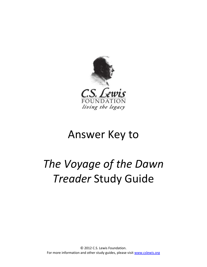

# Answer Key to

# *The Voyage of the Dawn Treader* Study Guide

© 2012 C.S. Lewis Foundation. For more information and other study guides, please visi[t www.cslewis.org](http://www.cslewis.org/)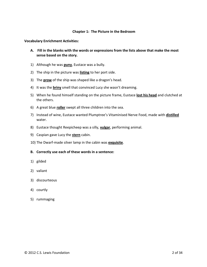#### **Chapter 1: The Picture in the Bedroom**

#### **Vocabulary Enrichment Activities:**

- **A. Fill in the blanks with the words or expressions from the lists above that make the most sense based on the story.**
- 1) Although he was **puny**, Eustace was a bully.
- 2) The ship in the picture was **listing** to her port side.
- 3) The **prow** of the ship was shaped like a dragon's head.
- 4) It was the **briny** smell that convinced Lucy she wasn't dreaming.
- 5) When he found himself standing on the picture frame, Eustace **lost his head** and clutched at the others.
- 6) A great blue **roller** swept all three children into the sea.
- 7) Instead of wine, Eustace wanted Plumptree's Vitaminised Nerve Food, made with **distilled** water.
- 8) Eustace thought Reepicheep was a silly, **vulgar**, performing animal.
- 9) Caspian gave Lucy the **stern** cabin.
- 10) The Dwarf-made silver lamp in the cabin was **exquisite**.
- **B. Correctly use each of these words in a sentence:**
- 1) gilded
- 2) valiant
- 3) discourteous
- 4) courtly
- 5) rummaging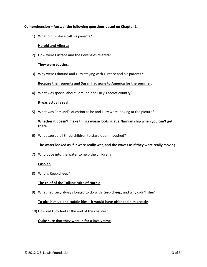#### **Comprehension – Answer the following questions based on Chapter 1.**

1) What did Eustace call his parents?

#### **Harold and Alberta**

2) How were Eustace and the Pevensies related?

#### **They were cousins**.

3) Why were Edmund and Lucy staying with Eustace and his parents?

#### **Because their parents and Susan had gone to America for the summer**.

4) What was special about Edmund and Lucy's secret country?

#### **It was actually real**.

5) What was Edmund's question as he and Lucy were looking at the picture?

# **Whether it doesn't make things worse looking at a Narnian ship when you can't get there**.

6) What caused all three children to stare open-mouthed?

#### **The water looked as if it were really wet, and the waves as if they were really moving**.

7) Who dove into the water to help the children?

#### **Caspian**

8) Who is Reepicheep?

# **The chief of the Talking Mice of Narnia**

9) What had Lucy always longed to do with Reepicheep, and why didn't she?

# **To pick him up and cuddle him – it would have offended him greatly**.

10) How did Lucy feel at the end of the chapter?

# **Quite sure that they were in for a lovely time**.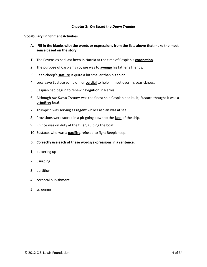#### **Chapter 2: On Board the** *Dawn Treader*

**Vocabulary Enrichment Activities:** 

- **A. Fill in the blanks with the words or expressions from the lists above that make the most sense based on the story.**
- 1) The Pevensies had last been in Narnia at the time of Caspian's **coronation**.
- 2) The purpose of Caspian's voyage was to **avenge** his father's friends.
- 3) Reepicheep's **stature** is quite a bit smaller than his spirit.
- 4) Lucy gave Eustace some of her **cordial** to help him get over his seasickness.
- 5) Caspian had begun to renew **navigation** in Narnia.
- 6) Although *the Dawn Treader* was the finest ship Caspian had built, Eustace thought it was a **primitive** boat.
- 7) Trumpkin was serving as **regent** while Caspian was at sea.
- 8) Provisions were stored in a pit going down to the **keel** of the ship.
- 9) Rhince was on duty at the **tiller**, guiding the boat.
- 10) Eustace, who was a **pacifist**, refused to fight Reepicheep.
- **B. Correctly use each of these words/expressions in a sentence:**
- 1) buttering up
- 2) usurping
- 3) partition
- 4) corporal punishment
- 5) scrounge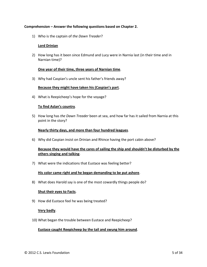#### **Comprehension – Answer the following questions based on Chapter 2.**

1) Who is the captain of *the Dawn Treader*?

#### **Lord Drinian**

2) How long has it been since Edmund and Lucy were in Narnia last (in their time and in Narnian time)?

#### **One year of their time, three years of Narnian time**.

3) Why had Caspian's uncle sent his father's friends away?

#### **Because they might have taken his (Caspian's part**.

4) What is Reepicheep's hope for the voyage?

#### **To find Aslan's country**.

5) How long has *the Dawn Treader* been at sea, and how far has it sailed from Narnia at this point in the story?

#### **Nearly thirty days, and more than four hundred leagues**.

6) Why did Caspian insist on Drinian and Rhince having the port cabin above?

# **Because they would have the cares of sailing the ship and shouldn't be disturbed by the others singing and talking**.

7) What were the indications that Eustace was feeling better?

#### **His color came right and he began demanding to be put ashore**.

8) What does Harold say is one of the most cowardly things people do?

#### **Shut their eyes to Facts**.

9) How did Eustace feel he was being treated?

#### **Very badly**.

10) What began the trouble between Eustace and Reepicheep?

#### **Eustace caught Reepicheep by the tail and swung him around**.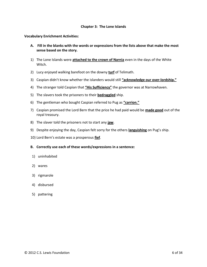#### **Chapter 3: The Lone Islands**

**Vocabulary Enrichment Activities:** 

- **A. Fill in the blanks with the words or expressions from the lists above that make the most sense based on the story.**
- 1) The Lone Islands were **attached to the crown of Narnia** even in the days of the White Witch.
- 2) Lucy enjoyed walking barefoot on the downy **turf** of Telimath.
- 3) Caspian didn't know whether the islanders would still **"acknowledge our over-lordship."**
- 4) The stranger told Caspian that **"His Sufficiency"** the governor was at Narrowhaven.
- 5) The slavers took the prisoners to their **bedraggled** ship.
- 6) The gentleman who bought Caspian referred to Pug as **"carrion."**
- 7) Caspian promised the Lord Bern that the price he had paid would be **made good** out of the royal treasury.
- 8) The slaver told the prisoners not to start any **jaw**.
- 9) Despite enjoying the day, Caspian felt sorry for the others **languishing** on Pug's ship.
- 10) Lord Bern's estate was a prosperous **fief**.
- **B. Correctly use each of these words/expressions in a sentence:**
- 1) uninhabited
- 2) wares
- 3) rigmarole
- 4) disbursed
- 5) pattering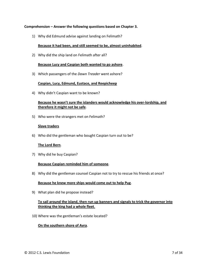#### **Comprehension – Answer the following questions based on Chapter 3.**

1) Why did Edmund advise against landing on Felimath?

#### **Because it had been, and still seemed to be, almost uninhabited**.

2) Why did the ship land on Felimath after all?

#### **Because Lucy and Caspian both wanted to go ashore**.

3) Which passengers of the *Dawn Treader* went ashore?

#### **Caspian, Lucy, Edmund, Eustace, and Reepicheep**

4) Why didn't Caspian want to be known?

# **Because he wasn't sure the islanders would acknowledge his over-lordship, and therefore it might not be safe**.

5) Who were the strangers met on Felimath?

#### **Slave traders**

6) Who did the gentleman who bought Caspian turn out to be?

#### **The Lord Bern**.

7) Why did he buy Caspian?

#### **Because Caspian reminded him of someone**.

8) Why did the gentleman counsel Caspian not to try to rescue his friends at once?

#### **Because he knew more ships would come out to help Pug**.

9) What plan did he propose instead?

# **To sail around the island, then run up banners and signals to trick the governor into thinking the king had a whole fleet**.

10) Where was the gentleman's estate located?

#### **On the southern shore of Avra**.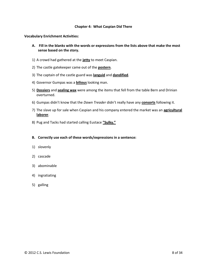#### **Chapter 4: What Caspian Did There**

**Vocabulary Enrichment Activities:** 

- **A. Fill in the blanks with the words or expressions from the lists above that make the most sense based on the story.**
- 1) A crowd had gathered at the **jetty** to meet Caspian.
- 2) The castle gatekeeper came out of the **postern**.
- 3) The captain of the castle guard was **languid** and **dandified**.
- 4) Governor Gumpas was a **bilious** looking man.
- 5) **Dossiers** and **sealing wax** were among the items that fell from the table Bern and Drinian overturned.
- 6) Gumpas didn't know that the *Dawn Treader* didn't really have any **consorts** following it.
- 7) The slave up for sale when Caspian and his company entered the market was an **agricultural laborer**.
- 8) Pug and Tacks had started calling Eustace **"Sulky."**

- 1) slovenly
- 2) cascade
- 3) abominable
- 4) ingratiating
- 5) galling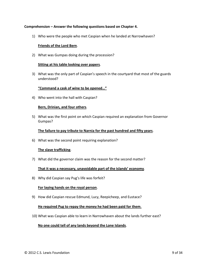#### **Comprehension – Answer the following questions based on Chapter 4.**

1) Who were the people who met Caspian when he landed at Narrowhaven?

#### **Friends of the Lord Bern**.

2) What was Gumpas doing during the procession?

#### **Sitting at his table looking over papers**.

3) What was the only part of Caspian's speech in the courtyard that most of the guards understood?

#### **"Command a cask of wine to be opened…"**

4) Who went into the hall with Caspian?

#### **Bern, Drinian, and four others**.

5) What was the first point on which Caspian required an explanation from Governor Gumpas?

#### **The failure to pay tribute to Narnia for the past hundred and fifty years**.

6) What was the second point requiring explanation?

#### **The slave trafficking**.

7) What did the governor claim was the reason for the second matter?

#### **That it was a necessary, unavoidable part of the islands' economy**.

8) Why did Caspian say Pug's life was forfeit?

#### **For laying hands on the royal person**.

9) How did Caspian rescue Edmund, Lucy, Reepicheep, and Eustace?

#### **He required Pug to repay the money he had been paid for them**.

10) What was Caspian able to learn in Narrowhaven about the lands further east?

#### **No one could tell of any lands beyond the Lone Islands**.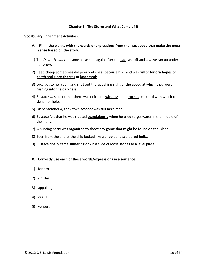#### **Chapter 5: The Storm and What Came of It**

**Vocabulary Enrichment Activities:** 

- **A. Fill in the blanks with the words or expressions from the lists above that make the most sense based on the story.**
- 1) The *Dawn Treader* became a live ship again after the **tug** cast off and a wave ran up under her prow.
- 2) Reepicheep sometimes did poorly at chess because his mind was full of **forlorn hopes** or **death and glory charges** or **last stands**.
- 3) Lucy got to her cabin and shut out the **appalling** sight of the speed at which they were rushing into the darkness.
- 4) Eustace was upset that there was neither a **wireless** nor a **rocket** on board with which to signal for help.
- 5) On September 4, the *Dawn Treader* was still **becalmed**.
- 6) Eustace felt that he was treated **scandalously** when he tried to get water in the middle of the night.
- 7) A hunting party was organized to shoot any **game** that might be found on the island.
- 8) Seen from the shore, the ship looked like a crippled, discoloured **hulk**..
- 9) Eustace finally came **slithering** down a slide of loose stones to a level place.

- 1) forlorn
- 2) sinister
- 3) appalling
- 4) vague
- 5) venture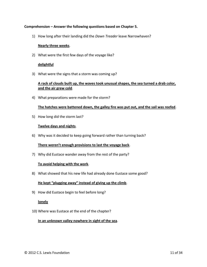#### **Comprehension – Answer the following questions based on Chapter 5.**

1) How long after their landing did the *Dawn Treader* leave Narrowhaven?

#### **Nearly three weeks**.

2) What were the first few days of the voyage like?

#### **delightful**

3) What were the signs that a storm was coming up?

# **A rack of clouds built up, the waves took unusual shapes, the sea turned a drab color, and the air grew cold**.

4) What preparations were made for the storm?

#### **The hatches were battened down, the galley fire was put out, and the sail was reefed**.

5) How long did the storm last?

#### **Twelve days and nights**.

6) Why was it decided to keep going forward rather than turning back?

#### **There weren't enough provisions to last the voyage back**.

7) Why did Eustace wander away from the rest of the party?

#### **To avoid helping with the work**.

8) What showed that his new life had already done Eustace some good?

# **He kept "plugging away" instead of giving up the climb**.

9) How did Eustace begin to feel before long?

# **lonely**

10) Where was Eustace at the end of the chapter?

#### **In an unknown valley nowhere in sight of the sea**.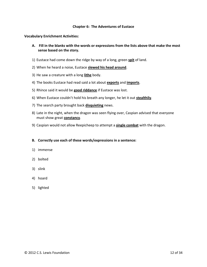#### **Chapter 6: The Adventures of Eustace**

**Vocabulary Enrichment Activities:** 

- **A. Fill in the blanks with the words or expressions from the lists above that make the most sense based on the story.**
- 1) Eustace had come down the ridge by way of a long, green **spit** of land.
- 2) When he heard a noise, Eustace **slewed his head around**.
- 3) He saw a creature with a long **lithe** body.
- 4) The books Eustace had read said a lot about **exports** and **imports**.
- 5) Rhince said it would be **good riddance** if Eustace was lost.
- 6) When Eustace couldn't hold his breath any longer, he let it out **stealthily**.
- 7) The search party brought back **disquieting** news.
- 8) Late in the night, when the dragon was seen flying over, Caspian advised that everyone must show great **constancy**.
- 9) Caspian would not allow Reepicheep to attempt a **single combat** with the dragon.

- 1) immense
- 2) bolted
- 3) slink
- 4) hoard
- 5) lighted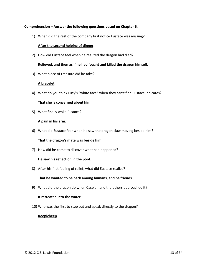#### **Comprehension – Answer the following questions based on Chapter 6.**

1) When did the rest of the company first notice Eustace was missing?

#### **After the second helping of dinner**.

2) How did Eustace feel when he realized the dragon had died?

#### **Relieved, and then as if he had fought and killed the dragon himself**.

3) What piece of treasure did he take?

#### **A bracelet**.

4) What do you think Lucy's "white face" when they can't find Eustace indicates?

#### **That she is concerned about him**.

5) What finally woke Eustace?

#### **A pain in his arm**.

6) What did Eustace fear when he saw the dragon claw moving beside him?

#### **That the dragon's mate was beside him**.

7) How did he come to discover what had happened?

#### **He saw his reflection in the pool**.

8) After his first feeling of relief, what did Eustace realize?

#### **That he wanted to be back among humans, and be friends**.

9) What did the dragon do when Caspian and the others approached it?

#### **It retreated into the water**.

10) Who was the first to step out and speak directly to the dragon?

#### **Reepicheep**.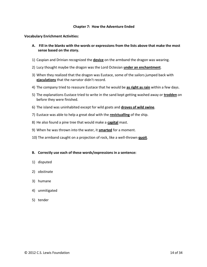#### **Chapter 7: How the Adventure Ended**

**Vocabulary Enrichment Activities:** 

- **A. Fill in the blanks with the words or expressions from the lists above that make the most sense based on the story.**
- 1) Caspian and Drinian recognized the **device** on the armband the dragon was wearing.
- 2) Lucy thought maybe the dragon was the Lord Octesian **under an enchantment**.
- 3) When they realized that the dragon was Eustace, some of the sailors jumped back with **ejaculations** that the narrator didn't record.
- 4) The company tried to reassure Eustace that he would be **as right as rain** within a few days.
- 5) The explanations Eustace tried to write in the sand kept getting washed away or **trodden** on before they were finished.
- 6) The island was uninhabited except for wild goats and **droves of wild swine**.
- 7) Eustace was able to help a great deal with the **revictualling** of the ship.
- 8) He also found a pine tree that would make a **capital** mast.
- 9) When he was thrown into the water, it **smarted** for a moment.
- 10) The armband caught on a projection of rock, like a well-thrown **quoit**.

- 1) disputed
- 2) obstinate
- 3) humane
- 4) unmitigated
- 5) tender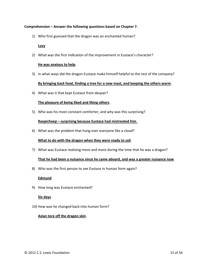#### **Comprehension – Answer the following questions based on Chapter 7.**

1) Who first guessed that the dragon was an enchanted human?

#### **Lucy**

2) What was the first indication of the improvement in Eustace's character?

#### **He was anxious to help**.

3) In what ways did the dragon Eustace make himself helpful to the rest of the company?

#### **By bringing back food, finding a tree for a new mast, and keeping the others warm**.

4) What was it that kept Eustace from despair?

#### **The pleasure of being liked and liking others**.

5) Who was his most constant comforter, and why was this surprising?

# **Reepicheep – surprising because Eustace had mistreated him** .

6) What was the problem that hung over everyone like a cloud?

#### **What to do with the dragon when they were ready to sail**.

7) What was Eustace realizing more and more during the time that he was a dragon?

#### **That he had been a nuisance since he came aboard, and was a greater nuisance now**.

8) Who was the first person to see Eustace in human form again?

#### **Edmund**.

9) How long was Eustace enchanted?

#### **Six days**.

10) How was he changed back into human form?

# **Aslan tore off the dragon skin**.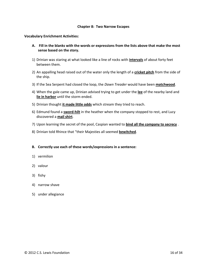#### **Chapter 8: Two Narrow Escapes**

#### **Vocabulary Enrichment Activities:**

- **A. Fill in the blanks with the words or expressions from the lists above that make the most sense based on the story.**
- 1) Drinian was staring at what looked like a line of rocks with **intervals** of about forty feet between them.
- 2) An appalling head raised out of the water only the length of a **cricket pitch** from the side of the ship.
- 3) If the Sea Serpent had closed the loop, the *Dawn Treader* would have been **matchwood**.
- 4) When the gale came up, Drinian advised trying to get under the **lee** of the nearby land and **lie in harbor** until the storm ended.
- 5) Drinian thought **it made little odds** which stream they tried to reach.
- 6) Edmund found a **sword-hilt** in the heather when the company stopped to rest, and Lucy discovered a **mail shirt**.
- 7) Upon learning the secret of the pool, Caspian wanted to **bind all the company to secrecy** .
- 8) Drinian told Rhince that "their Majesties all seemed **bewitched**.

- 1) vermilion
- 2) valour
- 3) fishy
- 4) narrow shave
- 5) under allegiance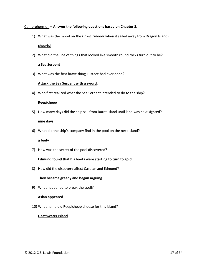#### Comprehension **– Answer the following questions based on Chapter 8.**

1) What was the mood on the *Dawn Treader* when it sailed away from Dragon Island?

#### **cheerful**

2) What did the line of things that looked like smooth round rocks turn out to be?

#### **a Sea Serpent**

3) What was the first brave thing Eustace had ever done?

#### **Attack the Sea Serpent with a sword**.

4) Who first realized what the Sea Serpent intended to do to the ship?

#### **Reepicheep**

5) How many days did the ship sail from Burnt Island until land was next sighted?

#### **nine days**

6) What did the ship's company find in the pool on the next island?

#### **a body**

7) How was the secret of the pool discovered?

#### **Edmund found that his boots were starting to turn to gold**.

8) How did the discovery affect Caspian and Edmund?

#### **They became greedy and began arguing**.

9) What happened to break the spell?

#### **Aslan appeared**.

10) What name did Reepicheep choose for this island?

#### **Deathwater Island**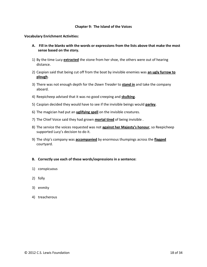#### **Chapter 9: The Island of the Voices**

**Vocabulary Enrichment Activities:** 

- **A. Fill in the blanks with the words or expressions from the lists above that make the most sense based on the story.**
- 1) By the time Lucy **extracted** the stone from her shoe, the others were out of hearing distance.
- 2) Caspian said that being cut off from the boat by invisible enemies was **an ugly furrow to plough**.
- 3) There was not enough depth for the *Dawn Treader* to **stand in** and take the company aboard.
- 4) Reepicheep advised that it was no good creeping and **skulking**.
- 5) Caspian decided they would have to see if the invisible beings would **parley**.
- 6) The magician had put an **uglifying spell** on the invisible creatures.
- 7) The Chief Voice said they had grown **mortal tired** of being invisible .
- 8) The service the voices requested was not **against her Majesty's honour**, so Reepicheep supported Lucy's decision to do it.
- 9) The ship's company was **accompanied** by enormous thumpings across the **flagged** courtyard.

- 1) conspicuous
- 2) folly
- 3) enmity
- 4) treacherous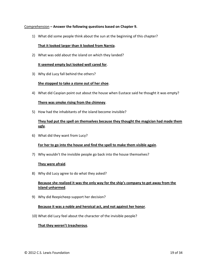#### Comprehension **– Answer the following questions based on Chapter 9.**

1) What did some people think about the sun at the beginning of this chapter?

#### **That it looked larger than it looked from Narnia**.

2) What was odd about the island on which they landed?

#### **It seemed empty but looked well cared for**.

3) Why did Lucy fall behind the others?

#### **She stopped to take a stone out of her shoe**.

4) What did Caspian point out about the house when Eustace said he thought it was empty?

#### **There was smoke rising from the chimney**.

5) How had the inhabitants of the island become invisible?

# **They had put the spell on themselves because they thought the magician had made them ugly**.

6) What did they want from Lucy?

#### **For her to go into the house and find the spell to make them visible again**.

7) Why wouldn't the invisible people go back into the house themselves?

#### **They were afraid**.

8) Why did Lucy agree to do what they asked?

# **Because she realized it was the only way for the ship's company to get away from the island unharmed**.

9) Why did Reepicheep support her decision?

#### **Because it was a noble and heroical act, and not against her honor**.

10) What did Lucy feel about the character of the invisible people?

#### **That they weren't treacherous**.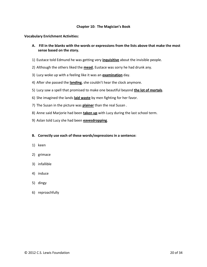#### **Chapter 10: The Magician's Book**

**Vocabulary Enrichment Activities:** 

- **A. Fill in the blanks with the words or expressions from the lists above that make the most sense based on the story.**
- 1) Eustace told Edmund he was getting very **inquisitive** about the invisible people.
- 2) Although the others liked the **mead**, Eustace was sorry he had drunk any.
- 3) Lucy woke up with a feeling like it was an **examination** day.
- 4) After she passed the **landing**, she couldn't hear the clock anymore.
- 5) Lucy saw a spell that promised to make one beautiful beyond **the lot of mortals**.
- 6) She imagined the lands **laid waste** by men fighting for her favor.
- 7) The Susan in the picture was **plainer** than the real Susan .
- 8) Anne said Marjorie had been **taken up** with Lucy during the last school term.
- 9) Aslan told Lucy she had been **eavesdropping**.

- 1) keen
- 2) grimace
- 3) infallible
- 4) induce
- 5) dingy
- 6) reproachfully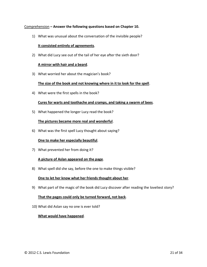#### Comprehension **– Answer the following questions based on Chapter 10.**

1) What was unusual about the conversation of the invisible people?

#### **It consisted entirely of agreements**.

2) What did Lucy see out of the tail of her eye after the sixth door?

#### **A mirror with hair and a beard**.

3) What worried her about the magician's book?

#### **The size of the book and not knowing where in it to look for the spell**.

4) What were the first spells in the book?

#### **Cures for warts and toothache and cramps, and taking a swarm of bees**.

5) What happened the longer Lucy read the book?

#### **The pictures became more real and wonderful**.

6) What was the first spell Lucy thought about saying?

#### **One to make her especially beautiful**.

7) What prevented her from doing it?

#### **A picture of Aslan appeared on the page**.

8) What spell did she say, before the one to make things visible?

#### **One to let her know what her friends thought about her**.

9) What part of the magic of the book did Lucy discover after reading the loveliest story?

#### **That the pages could only be turned forward, not back**.

10) What did Aslan say no one is ever told?

#### **What would have happened**.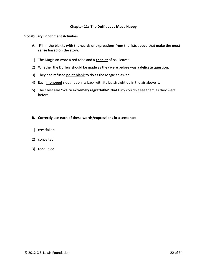#### **Chapter 11: The Dufflepuds Made Happy**

**Vocabulary Enrichment Activities:** 

- **A. Fill in the blanks with the words or expressions from the lists above that make the most sense based on the story.**
- 1) The Magician wore a red robe and a **chaplet** of oak leaves.
- 2) Whether the Duffers should be made as they were before was **a delicate question**.
- 3) They had refused **point blank** to do as the Magician asked.
- 4) Each **monopod** slept flat on its back with its leg straight up in the air above it.
- 5) The Chief said **"we're extremely regrettable"** that Lucy couldn't see them as they were before.

- 1) crestfallen
- 2) conceited
- 3) redoubled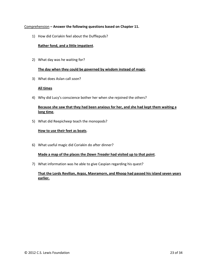#### Comprehension **– Answer the following questions based on Chapter 11.**

1) How did Coriakin feel about the Dufflepuds?

### **Rather fond, and a little impatient**.

2) What day was he waiting for?

#### **The day when they could be governed by wisdom instead of magic**.

3) What does Aslan call *soon*?

#### **All times**

4) Why did Lucy's conscience bother her when she rejoined the others?

# **Because she saw that they had been anxious for her, and she had kept them waiting a long time**,

5) What did Reepicheep teach the monopods?

#### **How to use their feet as boats**.

6) What useful magic did Coriakin do after dinner?

#### **Made a map of the places the** *Dawn Treader* **had visited up to that point**.

7) What information was he able to give Caspian regarding his quest?

# **That the Lords Revilian, Argoz, Mavramorn, and Rhoop had passed his island seven years earlier.**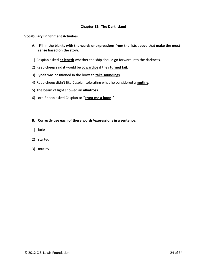#### **Chapter 12: The Dark Island**

#### **Vocabulary Enrichment Activities:**

- **A. Fill in the blanks with the words or expressions from the lists above that make the most sense based on the story.**
- 1) Caspian asked **at length** whether the ship should go forward into the darkness.
- 2) Reepicheep said it would be **cowardice** if they **turned tail**.
- 3) Rynelf was positioned in the bows to **take soundings**.
- 4) Reepicheep didn't like Caspian tolerating what he considered a **mutiny**.
- 5) The beam of light showed an **albatross**.
- 6) Lord Rhoop asked Caspian to "**grant me a boon**."

- 1) lurid
- 2) started
- 3) mutiny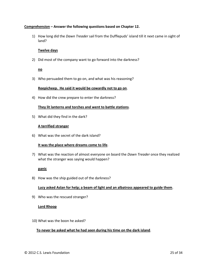#### **Comprehension – Answer the following questions based on Chapter 12.**

1) How long did the *Dawn Treader* sail from the Dufflepuds' island till it next came in sight of land?

#### **Twelve days**

2) Did most of the company want to go forward into the darkness?

#### **no**

3) Who persuaded them to go on, and what was his reasoning?

#### **Reepicheep. He said it would be cowardly not to go on**.

4) How did the crew prepare to enter the darkness?

#### **They lit lanterns and torches and went to battle stations**.

5) What did they find in the dark?

#### **A terrified stranger**

6) What was the secret of the dark island?

#### **It was the place where dreams come to life**.

7) What was the reaction of almost everyone on board the *Dawn Treader* once they realized what the stranger was saying would happen?

# **panic**

8) How was the ship guided out of the darkness?

# **Lucy asked Aslan for help; a beam of light and an albatross appeared to guide them**.

9) Who was the rescued stranger?

#### **Lord Rhoop**

10) What was the boon he asked?

# **To never be asked what he had seen during his time on the dark island**.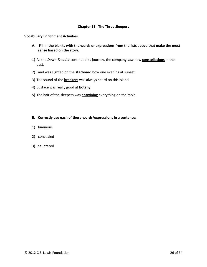#### **Chapter 13: The Three Sleepers**

#### **Vocabulary Enrichment Activities:**

- **A. Fill in the blanks with the words or expressions from the lists above that make the most sense based on the story.**
- 1) As the *Dawn Treader* continued its journey, the company saw new **constellations** in the east.
- 2) Land was sighted on the **starboard** bow one evening at sunset.
- 3) The sound of the **breakers** was always heard on this island.
- 4) Eustace was really good at **botany**.
- 5) The hair of the sleepers was **entwining** everything on the table.

- 1) luminous
- 2) concealed
- 3) sauntered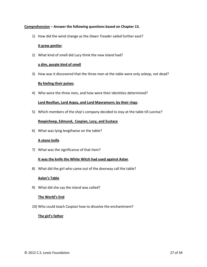#### **Comprehension – Answer the following questions based on Chapter 13.**

1) How did the wind change as the *Dawn Treader* sailed further east?

#### **It grew gentler**.

2) What kind of smell did Lucy think the new island had?

#### **a dim, purple kind of smell**

3) How was it discovered that the three men at the table were only asleep, not dead?

#### **By feeling their pulses**.

4) Who were the three men, and how were their identities determined?

#### **Lord Revilian, Lord Argoz, and Lord Mavramorn; by their rings**.

5) Which members of the ship's company decided to stay at the table till sunrise?

#### **Reepicheep, Edmund, Caspian, Lucy, and Eustace**

6) What was lying lengthwise on the table?

#### **A stone knife**

7) What was the significance of that item?

#### **It was the knife the White Witch had used against Aslan**.

8) What did the girl who came out of the doorway call the table?

#### **Aslan's Table**

9) What did she say the island was called?

#### **The World's End**

10) Who could teach Caspian how to dissolve the enchantment?

#### **The girl's father**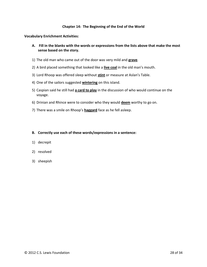#### **Chapter 14: The Beginning of the End of the World**

#### **Vocabulary Enrichment Activities:**

- **A. Fill in the blanks with the words or expressions from the lists above that make the most sense based on the story.**
- 1) The old man who came out of the door was very mild and **grave**.
- 2) A bird placed something that looked like a **live coal** in the old man's mouth.
- 3) Lord Rhoop was offered sleep without **stint** or measure at Aslan's Table.
- 4) One of the sailors suggested **wintering** on this island.
- 5) Caspian said he still had **a card to play** in the discussion of who would continue on the voyage.
- 6) Drinian and Rhince were to consider who they would **deem** worthy to go on.
- 7) There was a smile on Rhoop's **haggard** face as he fell asleep.

- 1) decrepit
- 2) resolved
- 3) sheepish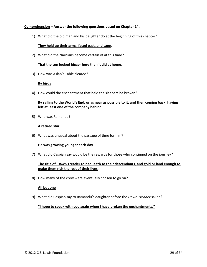#### **Comprehension – Answer the following questions based on Chapter 14.**

1) What did the old man and his daughter do at the beginning of this chapter?

#### **They held up their arms, faced east, and sang**.

2) What did the Narnians become certain of at this time?

#### **That the sun looked bigger here than it did at home**.

3) How was Aslan's Table cleared?

#### **By birds**

4) How could the enchantment that held the sleepers be broken?

# **By sailing to the World's End, or as near as possible to it, and then coming back, having left at least one of the company behind**.

5) Who was Ramandu?

#### **A retired star**

6) What was unusual about the passage of time for him?

#### **He was growing younger each day**.

7) What did Caspian say would be the rewards for those who continued on the journey?

# **The title of Dawn Treader to bequeath to their descendants, and gold or land enough to make them rich the rest of their lives**.

8) How many of the crew were eventually chosen to go on?

#### **All but one**

9) What did Caspian say to Ramandu's daughter before the *Dawn Treader* sailed?

#### **"I hope to speak with you again when I have broken the enchantments."**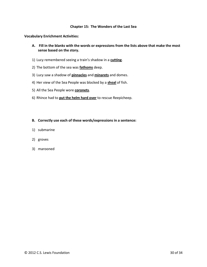#### **Chapter 15: The Wonders of the Last Sea**

#### **Vocabulary Enrichment Activities:**

- **A. Fill in the blanks with the words or expressions from the lists above that make the most sense based on the story.**
- 1) Lucy remembered seeing a train's shadow in a **cutting**.
- 2) The bottom of the sea was **fathoms** deep.
- 3) Lucy saw a shadow of **pinnacles** and **minarets** and domes.
- 4) Her view of the Sea People was blocked by a **shoal** of fish.
- 5) All the Sea People wore **coronets**.
- 6) Rhince had to **put the helm hard over** to rescue Reepicheep.

- 1) submarine
- 2) groves
- 3) marooned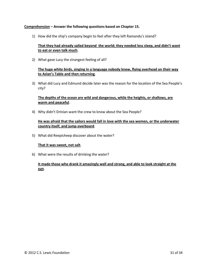#### **Comprehension – Answer the following questions based on Chapter 15.**

1) How did the ship's company begin to feel after they left Ramandu's island?

# **That they had already sailed beyond the world; they needed less sleep, and didn't want to eat or even talk much**.

2) What gave Lucy the strangest feeling of all?

# **The huge white birds, singing in a language nobody knew, flying overhead on their way to Aslan's Table and then returning**.

3) What did Lucy and Edmund decide later was the reason for the location of the Sea People's city?

# **The depths of the ocean are wild and dangerous, while the heights, or shallows, are warm and peaceful**.

4) Why didn't Drinian want the crew to know about the Sea People?

# **He was afraid that the sailors would fall in love with the sea women, or the underwater country itself, and jump overboard**.

5) What did Reepicheep discover about the water?

#### **That it was sweet, not salt**.

6) What were the results of drinking the water?

# **It made those who drank it amazingly well and strong, and able to look straight at the sun**.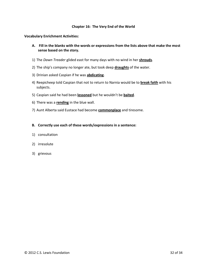#### **Chapter 16: The Very End of the World**

**Vocabulary Enrichment Activities:** 

- **A. Fill in the blanks with the words or expressions from the lists above that make the most sense based on the story.**
- 1) The *Dawn Treader* glided east for many days with no wind in her **shrouds**.
- 2) The ship's company no longer ate, but took deep **draughts** of the water.
- 3) Drinian asked Caspian if he was **abdicating**.
- 4) Reepicheep told Caspian that not to return to Narnia would be to **break faith** with his subjects.
- 5) Caspian said he had been **lessoned** but he wouldn't be **baited**.
- 6) There was a **rending** in the blue wall.
- 7) Aunt Alberta said Eustace had become **commonplace** and tiresome.
- **B. Correctly use each of these words/expressions in a sentence:**
- 1) consultation
- 2) irresolute
- 3) grievous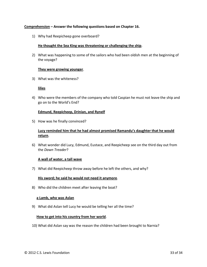#### **Comprehension – Answer the following questions based on Chapter 16.**

1) Why had Reepicheep gone overboard?

#### **He thought the Sea King was threatening or challenging the ship**.

2) What was happening to some of the sailors who had been oldish men at the beginning of the voyage?

#### **They were growing younger**.

3) What was the whiteness?

#### **lilies**

4) Who were the members of the company who told Caspian he must not leave the ship and go on to the World's End?

#### **Edmund, Reepicheep, Drinian, and Rynelf**

5) How was he finally convinced?

# **Lucy reminded him that he had almost promised Ramandu's daughter that he would return**.

6) What wonder did Lucy, Edmund, Eustace, and Reepicheep see on the third day out from the *Dawn Treader*?

#### **A wall of water, a tall wave**

7) What did Reepicheep throw away before he left the others, and why?

#### **His sword; he said he would not need it anymore**.

8) Who did the children meet after leaving the boat?

#### **a Lamb, who was Aslan**

9) What did Aslan tell Lucy he would be telling her all the time?

#### **How to get into his country from her world**.

10) What did Aslan say was the reason the children had been brought to Narnia?